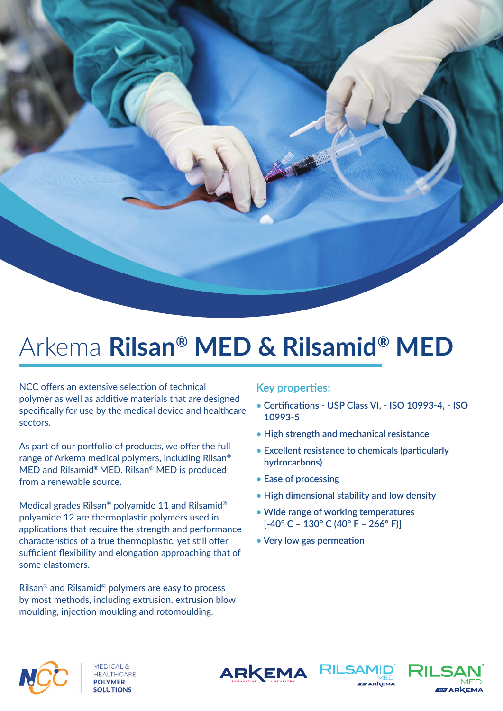

## Arkema **Rilsan® MED & Rilsamid® MED**

NCC offers an extensive selection of technical polymer as well as additive materials that are designed specifically for use by the medical device and healthcare sectors.

As part of our portfolio of products, we offer the full range of Arkema medical polymers, including Rilsan® MED and Rilsamid® MED. Rilsan® MED is produced from a renewable source.

Medical grades Rilsan® polyamide 11 and Rilsamid® polyamide 12 are thermoplastic polymers used in applications that require the strength and performance characteristics of a true thermoplastic, yet still offer sufficient flexibility and elongation approaching that of some elastomers.

Rilsan® and Rilsamid® polymers are easy to process by most methods, including extrusion, extrusion blow moulding, injection moulding and rotomoulding.

## **Key properties:**

- Certifications USP Class VI, ISO 10993-4, ISO **10993-5**
- **• High strength and mechanical resistance**
- Excellent resistance to chemicals (particularly **hydrocarbons)**
- **• Ease of processing**
- **• High dimensional stability and low density**
- **• Wide range of working temperatures [-40° C – 130° C (40° F – 266° F)]**
- Very low gas permeation